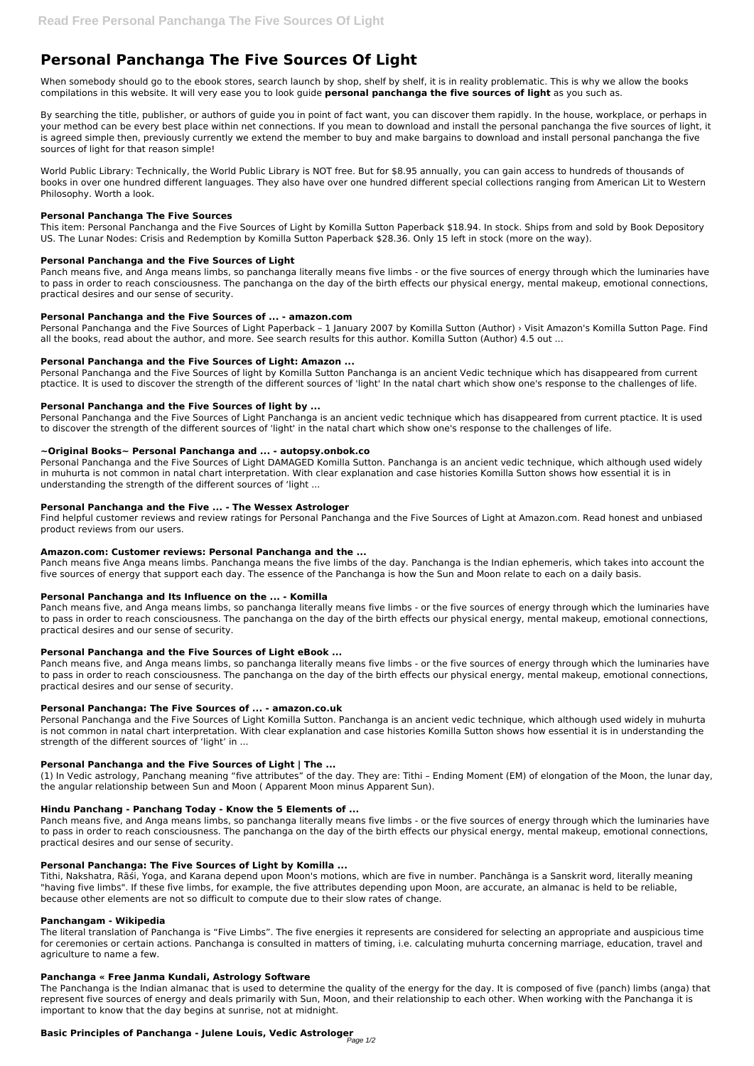# **Personal Panchanga The Five Sources Of Light**

When somebody should go to the ebook stores, search launch by shop, shelf by shelf, it is in reality problematic. This is why we allow the books compilations in this website. It will very ease you to look guide **personal panchanga the five sources of light** as you such as.

By searching the title, publisher, or authors of guide you in point of fact want, you can discover them rapidly. In the house, workplace, or perhaps in your method can be every best place within net connections. If you mean to download and install the personal panchanga the five sources of light, it is agreed simple then, previously currently we extend the member to buy and make bargains to download and install personal panchanga the five sources of light for that reason simple!

World Public Library: Technically, the World Public Library is NOT free. But for \$8.95 annually, you can gain access to hundreds of thousands of books in over one hundred different languages. They also have over one hundred different special collections ranging from American Lit to Western Philosophy. Worth a look.

## **Personal Panchanga The Five Sources**

This item: Personal Panchanga and the Five Sources of Light by Komilla Sutton Paperback \$18.94. In stock. Ships from and sold by Book Depository US. The Lunar Nodes: Crisis and Redemption by Komilla Sutton Paperback \$28.36. Only 15 left in stock (more on the way).

## **Personal Panchanga and the Five Sources of Light**

Panch means five, and Anga means limbs, so panchanga literally means five limbs - or the five sources of energy through which the luminaries have to pass in order to reach consciousness. The panchanga on the day of the birth effects our physical energy, mental makeup, emotional connections, practical desires and our sense of security.

#### **Personal Panchanga and the Five Sources of ... - amazon.com**

Personal Panchanga and the Five Sources of Light Paperback – 1 January 2007 by Komilla Sutton (Author) › Visit Amazon's Komilla Sutton Page. Find all the books, read about the author, and more. See search results for this author. Komilla Sutton (Author) 4.5 out ...

#### **Personal Panchanga and the Five Sources of Light: Amazon ...**

Personal Panchanga and the Five Sources of light by Komilla Sutton Panchanga is an ancient Vedic technique which has disappeared from current ptactice. It is used to discover the strength of the different sources of 'light' In the natal chart which show one's response to the challenges of life.

## **Personal Panchanga and the Five Sources of light by ...**

Personal Panchanga and the Five Sources of Light Panchanga is an ancient vedic technique which has disappeared from current ptactice. It is used to discover the strength of the different sources of 'light' in the natal chart which show one's response to the challenges of life.

## **~Original Books~ Personal Panchanga and ... - autopsy.onbok.co**

Personal Panchanga and the Five Sources of Light DAMAGED Komilla Sutton. Panchanga is an ancient vedic technique, which although used widely in muhurta is not common in natal chart interpretation. With clear explanation and case histories Komilla Sutton shows how essential it is in understanding the strength of the different sources of 'light ...

## **Personal Panchanga and the Five ... - The Wessex Astrologer**

Find helpful customer reviews and review ratings for Personal Panchanga and the Five Sources of Light at Amazon.com. Read honest and unbiased product reviews from our users.

## **Amazon.com: Customer reviews: Personal Panchanga and the ...**

Panch means five Anga means limbs. Panchanga means the five limbs of the day. Panchanga is the Indian ephemeris, which takes into account the five sources of energy that support each day. The essence of the Panchanga is how the Sun and Moon relate to each on a daily basis.

## **Personal Panchanga and Its Influence on the ... - Komilla**

Panch means five, and Anga means limbs, so panchanga literally means five limbs - or the five sources of energy through which the luminaries have to pass in order to reach consciousness. The panchanga on the day of the birth effects our physical energy, mental makeup, emotional connections, practical desires and our sense of security.

## **Personal Panchanga and the Five Sources of Light eBook ...**

Panch means five, and Anga means limbs, so panchanga literally means five limbs - or the five sources of energy through which the luminaries have to pass in order to reach consciousness. The panchanga on the day of the birth effects our physical energy, mental makeup, emotional connections, practical desires and our sense of security.

## **Personal Panchanga: The Five Sources of ... - amazon.co.uk**

Personal Panchanga and the Five Sources of Light Komilla Sutton. Panchanga is an ancient vedic technique, which although used widely in muhurta is not common in natal chart interpretation. With clear explanation and case histories Komilla Sutton shows how essential it is in understanding the strength of the different sources of 'light' in ...

## **Personal Panchanga and the Five Sources of Light | The ...**

(1) In Vedic astrology, Panchang meaning "five attributes" of the day. They are: Tithi – Ending Moment (EM) of elongation of the Moon, the lunar day, the angular relationship between Sun and Moon ( Apparent Moon minus Apparent Sun).

#### **Hindu Panchang - Panchang Today - Know the 5 Elements of ...**

Panch means five, and Anga means limbs, so panchanga literally means five limbs - or the five sources of energy through which the luminaries have to pass in order to reach consciousness. The panchanga on the day of the birth effects our physical energy, mental makeup, emotional connections, practical desires and our sense of security.

#### **Personal Panchanga: The Five Sources of Light by Komilla ...**

Tithi, Nakshatra, Rāśi, Yoga, and Karana depend upon Moon's motions, which are five in number. Panchānga is a Sanskrit word, literally meaning "having five limbs". If these five limbs, for example, the five attributes depending upon Moon, are accurate, an almanac is held to be reliable, because other elements are not so difficult to compute due to their slow rates of change.

#### **Panchangam - Wikipedia**

The literal translation of Panchanga is "Five Limbs". The five energies it represents are considered for selecting an appropriate and auspicious time for ceremonies or certain actions. Panchanga is consulted in matters of timing, i.e. calculating muhurta concerning marriage, education, travel and agriculture to name a few.

#### **Panchanga « Free Janma Kundali, Astrology Software**

The Panchanga is the Indian almanac that is used to determine the quality of the energy for the day. It is composed of five (panch) limbs (anga) that represent five sources of energy and deals primarily with Sun, Moon, and their relationship to each other. When working with the Panchanga it is important to know that the day begins at sunrise, not at midnight.

## **Basic Principles of Panchanga - Julene Louis, Vedic Astrologer**